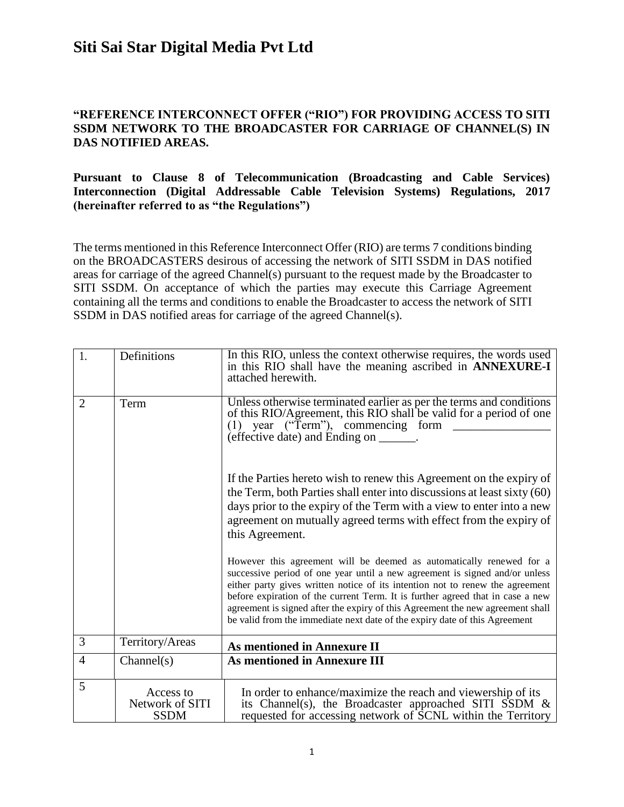### **"REFERENCE INTERCONNECT OFFER ("RIO") FOR PROVIDING ACCESS TO SITI SSDM NETWORK TO THE BROADCASTER FOR CARRIAGE OF CHANNEL(S) IN DAS NOTIFIED AREAS.**

### **Pursuant to Clause 8 of Telecommunication (Broadcasting and Cable Services) Interconnection (Digital Addressable Cable Television Systems) Regulations, 2017 (hereinafter referred to as "the Regulations")**

The terms mentioned in this Reference Interconnect Offer (RIO) are terms 7 conditions binding on the BROADCASTERS desirous of accessing the network of SITI SSDM in DAS notified areas for carriage of the agreed Channel(s) pursuant to the request made by the Broadcaster to SITI SSDM. On acceptance of which the parties may execute this Carriage Agreement containing all the terms and conditions to enable the Broadcaster to access the network of SITI SSDM in DAS notified areas for carriage of the agreed Channel(s).

| 1.             | Definitions                                 | In this RIO, unless the context otherwise requires, the words used<br>in this RIO shall have the meaning ascribed in ANNEXURE-I<br>attached herewith.                                                                                                                                                                                                                                                                                                                                  |
|----------------|---------------------------------------------|----------------------------------------------------------------------------------------------------------------------------------------------------------------------------------------------------------------------------------------------------------------------------------------------------------------------------------------------------------------------------------------------------------------------------------------------------------------------------------------|
| $\overline{2}$ | Term                                        | Unless otherwise terminated earlier as per the terms and conditions<br>of this RIO/Agreement, this RIO shall be valid for a period of one<br>$(1)$ year ("Term"), commencing form<br>(effective date) and Ending on ______.                                                                                                                                                                                                                                                            |
|                |                                             | If the Parties hereto wish to renew this Agreement on the expiry of<br>the Term, both Parties shall enter into discussions at least sixty (60)<br>days prior to the expiry of the Term with a view to enter into a new<br>agreement on mutually agreed terms with effect from the expiry of<br>this Agreement.                                                                                                                                                                         |
|                |                                             | However this agreement will be deemed as automatically renewed for a<br>successive period of one year until a new agreement is signed and/or unless<br>either party gives written notice of its intention not to renew the agreement<br>before expiration of the current Term. It is further agreed that in case a new<br>agreement is signed after the expiry of this Agreement the new agreement shall<br>be valid from the immediate next date of the expiry date of this Agreement |
| 3              | Territory/Areas                             | <b>As mentioned in Annexure II</b>                                                                                                                                                                                                                                                                                                                                                                                                                                                     |
| $\overline{4}$ | Channel(s)                                  | <b>As mentioned in Annexure III</b>                                                                                                                                                                                                                                                                                                                                                                                                                                                    |
| 5              | Access to<br>Network of SITI<br><b>SSDM</b> | In order to enhance/maximize the reach and viewership of its<br>its Channel(s), the Broadcaster approached SITI SSDM $\&$<br>requested for accessing network of SCNL within the Territory                                                                                                                                                                                                                                                                                              |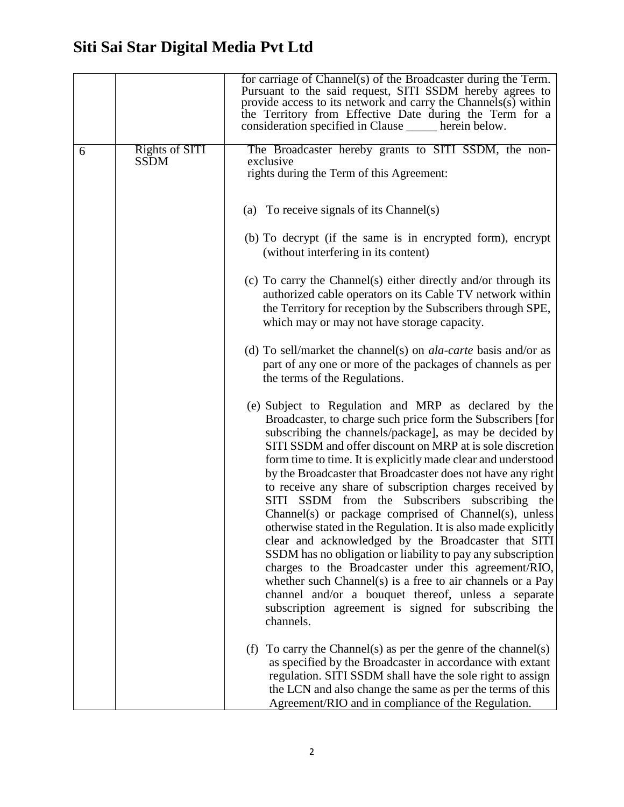|   |                               | for carriage of Channel(s) of the Broadcaster during the Term.<br>Pursuant to the said request, SITI SSDM hereby agrees to<br>provide access to its network and carry the Channels(s) within<br>the Territory from Effective Date during the Term for a<br>consideration specified in Clause _____ herein below.                                                                                                                                                                                                                                                                                                                                                                                                                                                                                                                                                                                                                                                                              |
|---|-------------------------------|-----------------------------------------------------------------------------------------------------------------------------------------------------------------------------------------------------------------------------------------------------------------------------------------------------------------------------------------------------------------------------------------------------------------------------------------------------------------------------------------------------------------------------------------------------------------------------------------------------------------------------------------------------------------------------------------------------------------------------------------------------------------------------------------------------------------------------------------------------------------------------------------------------------------------------------------------------------------------------------------------|
| 6 | Rights of SITI<br><b>SSDM</b> | The Broadcaster hereby grants to SITI SSDM, the non-<br>exclusive<br>rights during the Term of this Agreement:                                                                                                                                                                                                                                                                                                                                                                                                                                                                                                                                                                                                                                                                                                                                                                                                                                                                                |
|   |                               | (a) To receive signals of its Channel(s)                                                                                                                                                                                                                                                                                                                                                                                                                                                                                                                                                                                                                                                                                                                                                                                                                                                                                                                                                      |
|   |                               | (b) To decrypt (if the same is in encrypted form), encrypt<br>(without interfering in its content)                                                                                                                                                                                                                                                                                                                                                                                                                                                                                                                                                                                                                                                                                                                                                                                                                                                                                            |
|   |                               | (c) To carry the Channel(s) either directly and/or through its<br>authorized cable operators on its Cable TV network within<br>the Territory for reception by the Subscribers through SPE,<br>which may or may not have storage capacity.                                                                                                                                                                                                                                                                                                                                                                                                                                                                                                                                                                                                                                                                                                                                                     |
|   |                               | (d) To sell/market the channel(s) on <i>ala-carte</i> basis and/or as<br>part of any one or more of the packages of channels as per<br>the terms of the Regulations.                                                                                                                                                                                                                                                                                                                                                                                                                                                                                                                                                                                                                                                                                                                                                                                                                          |
|   |                               | (e) Subject to Regulation and MRP as declared by the<br>Broadcaster, to charge such price form the Subscribers [for]<br>subscribing the channels/package], as may be decided by<br>SITI SSDM and offer discount on MRP at is sole discretion<br>form time to time. It is explicitly made clear and understood<br>by the Broadcaster that Broadcaster does not have any right<br>to receive any share of subscription charges received by<br>SITI SSDM from the Subscribers subscribing the<br>Channel(s) or package comprised of Channel(s), unless<br>otherwise stated in the Regulation. It is also made explicitly<br>clear and acknowledged by the Broadcaster that SITI<br>SSDM has no obligation or liability to pay any subscription<br>charges to the Broadcaster under this agreement/RIO,<br>whether such Channel(s) is a free to air channels or a Pay<br>channel and/or a bouquet thereof, unless a separate<br>subscription agreement is signed for subscribing the<br>channels. |
|   |                               | To carry the Channel(s) as per the genre of the channel(s)<br>(f)<br>as specified by the Broadcaster in accordance with extant<br>regulation. SITI SSDM shall have the sole right to assign<br>the LCN and also change the same as per the terms of this<br>Agreement/RIO and in compliance of the Regulation.                                                                                                                                                                                                                                                                                                                                                                                                                                                                                                                                                                                                                                                                                |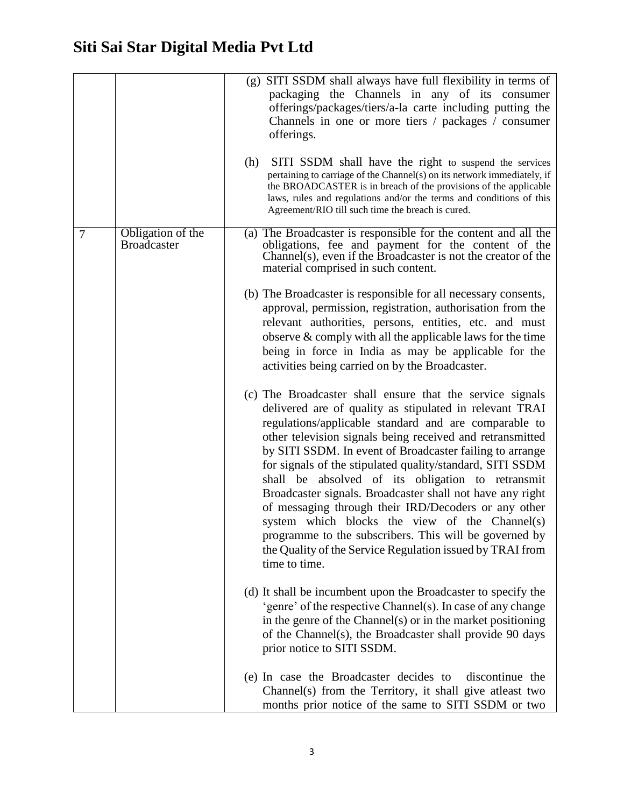|                |                                         | (g) SITI SSDM shall always have full flexibility in terms of<br>packaging the Channels in any of its consumer<br>offerings/packages/tiers/a-la carte including putting the<br>Channels in one or more tiers / packages / consumer<br>offerings.<br>(h)<br>SITI SSDM shall have the right to suspend the services<br>pertaining to carriage of the Channel(s) on its network immediately, if<br>the BROADCASTER is in breach of the provisions of the applicable<br>laws, rules and regulations and/or the terms and conditions of this                                                                                                                                                                                                  |
|----------------|-----------------------------------------|-----------------------------------------------------------------------------------------------------------------------------------------------------------------------------------------------------------------------------------------------------------------------------------------------------------------------------------------------------------------------------------------------------------------------------------------------------------------------------------------------------------------------------------------------------------------------------------------------------------------------------------------------------------------------------------------------------------------------------------------|
|                |                                         | Agreement/RIO till such time the breach is cured.                                                                                                                                                                                                                                                                                                                                                                                                                                                                                                                                                                                                                                                                                       |
| $\overline{7}$ | Obligation of the<br><b>Broadcaster</b> | (a) The Broadcaster is responsible for the content and all the<br>obligations, fee and payment for the content of the<br>Channel(s), even if the Broadcaster is not the creator of the<br>material comprised in such content.                                                                                                                                                                                                                                                                                                                                                                                                                                                                                                           |
|                |                                         | (b) The Broadcaster is responsible for all necessary consents,<br>approval, permission, registration, authorisation from the<br>relevant authorities, persons, entities, etc. and must<br>observe $\&$ comply with all the applicable laws for the time<br>being in force in India as may be applicable for the<br>activities being carried on by the Broadcaster.                                                                                                                                                                                                                                                                                                                                                                      |
|                |                                         | (c) The Broadcaster shall ensure that the service signals<br>delivered are of quality as stipulated in relevant TRAI<br>regulations/applicable standard and are comparable to<br>other television signals being received and retransmitted<br>by SITI SSDM. In event of Broadcaster failing to arrange<br>for signals of the stipulated quality/standard, SITI SSDM<br>shall be absolved of its obligation to retransmit<br>Broadcaster signals. Broadcaster shall not have any right<br>of messaging through their IRD/Decoders or any other<br>system which blocks the view of the Channel(s)<br>programme to the subscribers. This will be governed by<br>the Quality of the Service Regulation issued by TRAI from<br>time to time. |
|                |                                         | (d) It shall be incumbent upon the Broadcaster to specify the<br>'genre' of the respective Channel(s). In case of any change<br>in the genre of the Channel(s) or in the market positioning<br>of the Channel(s), the Broadcaster shall provide 90 days<br>prior notice to SITI SSDM.                                                                                                                                                                                                                                                                                                                                                                                                                                                   |
|                |                                         | (e) In case the Broadcaster decides to<br>discontinue the<br>Channel(s) from the Territory, it shall give atleast two<br>months prior notice of the same to SITI SSDM or two                                                                                                                                                                                                                                                                                                                                                                                                                                                                                                                                                            |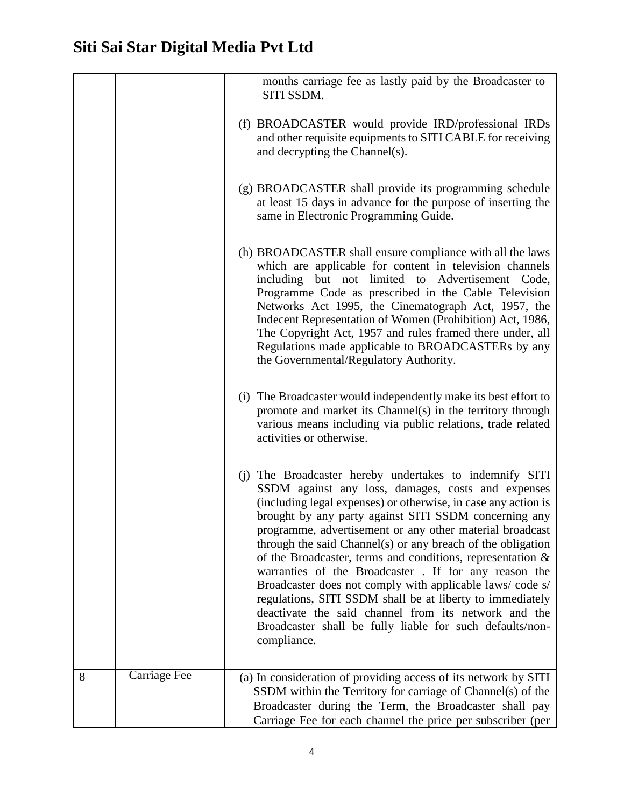|   |              | months carriage fee as lastly paid by the Broadcaster to<br>SITI SSDM.                                                                                                                                                                                                                                                                                                                                                                                                                                                                                                                                                                                                                                                                                   |
|---|--------------|----------------------------------------------------------------------------------------------------------------------------------------------------------------------------------------------------------------------------------------------------------------------------------------------------------------------------------------------------------------------------------------------------------------------------------------------------------------------------------------------------------------------------------------------------------------------------------------------------------------------------------------------------------------------------------------------------------------------------------------------------------|
|   |              | (f) BROADCASTER would provide IRD/professional IRDs<br>and other requisite equipments to SITI CABLE for receiving<br>and decrypting the Channel(s).                                                                                                                                                                                                                                                                                                                                                                                                                                                                                                                                                                                                      |
|   |              | (g) BROADCASTER shall provide its programming schedule<br>at least 15 days in advance for the purpose of inserting the<br>same in Electronic Programming Guide.                                                                                                                                                                                                                                                                                                                                                                                                                                                                                                                                                                                          |
|   |              | (h) BROADCASTER shall ensure compliance with all the laws<br>which are applicable for content in television channels<br>including but not limited to Advertisement Code,<br>Programme Code as prescribed in the Cable Television<br>Networks Act 1995, the Cinematograph Act, 1957, the<br>Indecent Representation of Women (Prohibition) Act, 1986,<br>The Copyright Act, 1957 and rules framed there under, all<br>Regulations made applicable to BROADCASTERs by any<br>the Governmental/Regulatory Authority.                                                                                                                                                                                                                                        |
|   |              | (i) The Broadcaster would independently make its best effort to<br>promote and market its Channel(s) in the territory through<br>various means including via public relations, trade related<br>activities or otherwise.                                                                                                                                                                                                                                                                                                                                                                                                                                                                                                                                 |
|   |              | (j) The Broadcaster hereby undertakes to indemnify SITI<br>SSDM against any loss, damages, costs and expenses<br>(including legal expenses) or otherwise, in case any action is<br>brought by any party against SITI SSDM concerning any<br>programme, advertisement or any other material broadcast<br>through the said Channel(s) or any breach of the obligation<br>of the Broadcaster, terms and conditions, representation $\&$<br>warranties of the Broadcaster. If for any reason the<br>Broadcaster does not comply with applicable laws/code s/<br>regulations, SITI SSDM shall be at liberty to immediately<br>deactivate the said channel from its network and the<br>Broadcaster shall be fully liable for such defaults/non-<br>compliance. |
| 8 | Carriage Fee | (a) In consideration of providing access of its network by SITI<br>SSDM within the Territory for carriage of Channel(s) of the<br>Broadcaster during the Term, the Broadcaster shall pay<br>Carriage Fee for each channel the price per subscriber (per                                                                                                                                                                                                                                                                                                                                                                                                                                                                                                  |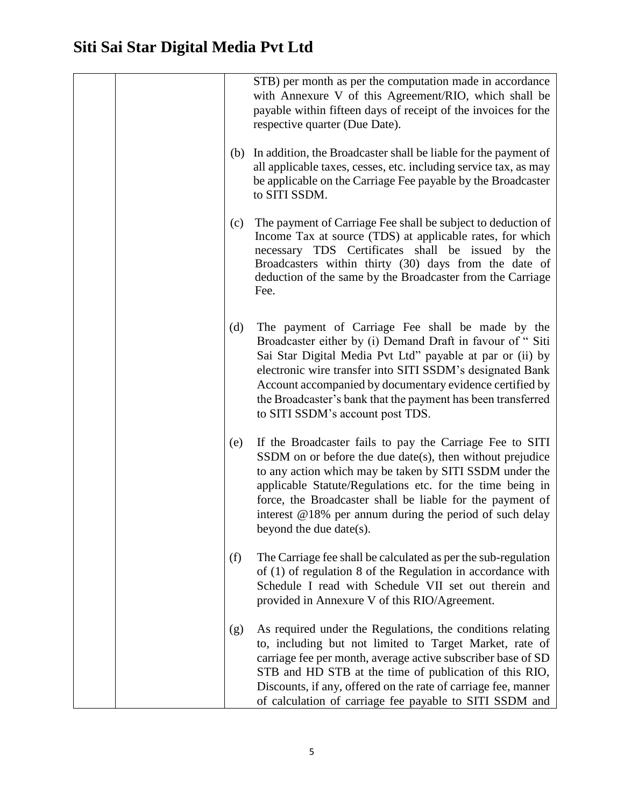|     | STB) per month as per the computation made in accordance<br>with Annexure V of this Agreement/RIO, which shall be<br>payable within fifteen days of receipt of the invoices for the<br>respective quarter (Due Date).                                                                                                                                                                                   |
|-----|---------------------------------------------------------------------------------------------------------------------------------------------------------------------------------------------------------------------------------------------------------------------------------------------------------------------------------------------------------------------------------------------------------|
| (b) | In addition, the Broadcaster shall be liable for the payment of<br>all applicable taxes, cesses, etc. including service tax, as may<br>be applicable on the Carriage Fee payable by the Broadcaster<br>to SITI SSDM.                                                                                                                                                                                    |
| (c) | The payment of Carriage Fee shall be subject to deduction of<br>Income Tax at source (TDS) at applicable rates, for which<br>necessary TDS Certificates shall be issued by the<br>Broadcasters within thirty (30) days from the date of<br>deduction of the same by the Broadcaster from the Carriage<br>Fee.                                                                                           |
| (d) | The payment of Carriage Fee shall be made by the<br>Broadcaster either by (i) Demand Draft in favour of "Siti<br>Sai Star Digital Media Pvt Ltd" payable at par or (ii) by<br>electronic wire transfer into SITI SSDM's designated Bank<br>Account accompanied by documentary evidence certified by<br>the Broadcaster's bank that the payment has been transferred<br>to SITI SSDM's account post TDS. |
| (e) | If the Broadcaster fails to pay the Carriage Fee to SITI<br>SSDM on or before the due date(s), then without prejudice<br>to any action which may be taken by SITI SSDM under the<br>applicable Statute/Regulations etc. for the time being in<br>force, the Broadcaster shall be liable for the payment of<br>interest @18% per annum during the period of such delay<br>beyond the due date(s).        |
| (f) | The Carriage fee shall be calculated as per the sub-regulation<br>of $(1)$ of regulation 8 of the Regulation in accordance with<br>Schedule I read with Schedule VII set out therein and<br>provided in Annexure V of this RIO/Agreement.                                                                                                                                                               |
| (g) | As required under the Regulations, the conditions relating<br>to, including but not limited to Target Market, rate of<br>carriage fee per month, average active subscriber base of SD<br>STB and HD STB at the time of publication of this RIO,<br>Discounts, if any, offered on the rate of carriage fee, manner<br>of calculation of carriage fee payable to SITI SSDM and                            |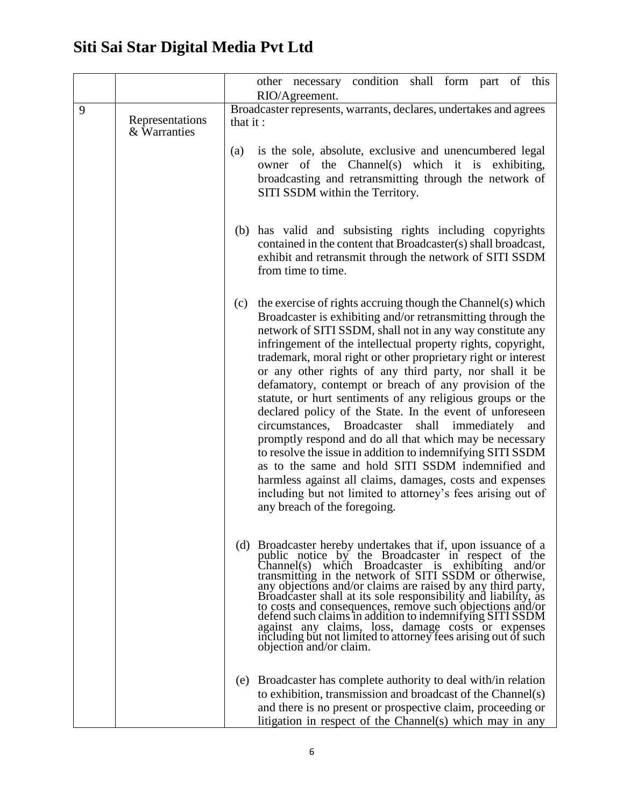|   |                                 | other necessary condition<br>shall form part<br>this<br>of<br>RIO/Agreement.                                                                                                                                                                                                                                                                                                                                                                                                                                                                                                                                                                                                                                                                                                                                                                                                                                                                                                      |
|---|---------------------------------|-----------------------------------------------------------------------------------------------------------------------------------------------------------------------------------------------------------------------------------------------------------------------------------------------------------------------------------------------------------------------------------------------------------------------------------------------------------------------------------------------------------------------------------------------------------------------------------------------------------------------------------------------------------------------------------------------------------------------------------------------------------------------------------------------------------------------------------------------------------------------------------------------------------------------------------------------------------------------------------|
| 9 | Representations<br>& Warranties | Broadcaster represents, warrants, declares, undertakes and agrees<br>that it:                                                                                                                                                                                                                                                                                                                                                                                                                                                                                                                                                                                                                                                                                                                                                                                                                                                                                                     |
|   |                                 | is the sole, absolute, exclusive and unencumbered legal<br>(a)<br>owner of the Channel(s) which it is exhibiting,<br>broadcasting and retransmitting through the network of<br>SITI SSDM within the Territory.                                                                                                                                                                                                                                                                                                                                                                                                                                                                                                                                                                                                                                                                                                                                                                    |
|   |                                 | (b) has valid and subsisting rights including copyrights<br>contained in the content that Broadcaster(s) shall broadcast,<br>exhibit and retransmit through the network of SITI SSDM<br>from time to time.                                                                                                                                                                                                                                                                                                                                                                                                                                                                                                                                                                                                                                                                                                                                                                        |
|   |                                 | the exercise of rights accruing though the Channel(s) which<br>(c)<br>Broadcaster is exhibiting and/or retransmitting through the<br>network of SITI SSDM, shall not in any way constitute any<br>infringement of the intellectual property rights, copyright,<br>trademark, moral right or other proprietary right or interest<br>or any other rights of any third party, nor shall it be<br>defamatory, contempt or breach of any provision of the<br>statute, or hurt sentiments of any religious groups or the<br>declared policy of the State. In the event of unforeseen<br>circumstances, Broadcaster<br>shall immediately<br>and<br>promptly respond and do all that which may be necessary<br>to resolve the issue in addition to indemnifying SITI SSDM<br>as to the same and hold SITI SSDM indemnified and<br>harmless against all claims, damages, costs and expenses<br>including but not limited to attorney's fees arising out of<br>any breach of the foregoing. |
|   |                                 | (d) Broadcaster hereby undertakes that if, upon issuance of a<br>public notice by the Broadcaster in respect of the<br>Channel(s) which Broadcaster is exhibiting and/or<br>transmitting in the network of SITI SSDM or otherwise,<br>any objections and/or claims are raised by any third party,<br>Broadcaster shall at its sole responsibility and liability, as<br>to costs and consequences, remove such objections and/or<br>defend such claims in addition to indemnifying SITI SSDM<br>against any claims, loss, damage costs or expenses<br>including but not limited to attorney fees arising out of such<br>objection and/or claim.                                                                                                                                                                                                                                                                                                                                    |
|   |                                 | (e) Broadcaster has complete authority to deal with/in relation<br>to exhibition, transmission and broadcast of the Channel(s)<br>and there is no present or prospective claim, proceeding or<br>litigation in respect of the Channel(s) which may in any                                                                                                                                                                                                                                                                                                                                                                                                                                                                                                                                                                                                                                                                                                                         |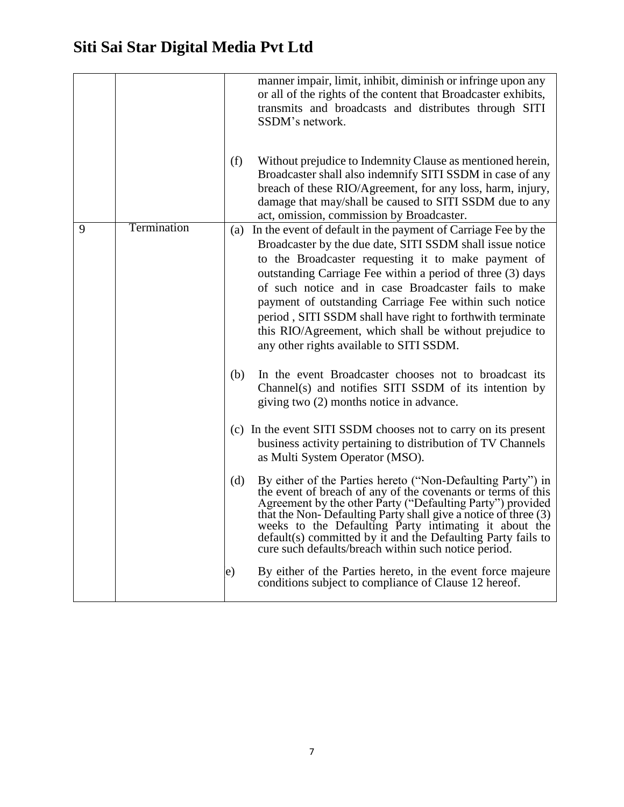|   |             |     | manner impair, limit, inhibit, diminish or infringe upon any<br>or all of the rights of the content that Broadcaster exhibits,<br>transmits and broadcasts and distributes through SITI<br>SSDM's network.                                                                                                                                                                                                                                                                                                                                |
|---|-------------|-----|-------------------------------------------------------------------------------------------------------------------------------------------------------------------------------------------------------------------------------------------------------------------------------------------------------------------------------------------------------------------------------------------------------------------------------------------------------------------------------------------------------------------------------------------|
|   |             | (f) | Without prejudice to Indemnity Clause as mentioned herein,<br>Broadcaster shall also indemnify SITI SSDM in case of any<br>breach of these RIO/Agreement, for any loss, harm, injury,<br>damage that may/shall be caused to SITI SSDM due to any<br>act, omission, commission by Broadcaster.                                                                                                                                                                                                                                             |
| 9 | Termination |     | (a) In the event of default in the payment of Carriage Fee by the<br>Broadcaster by the due date, SITI SSDM shall issue notice<br>to the Broadcaster requesting it to make payment of<br>outstanding Carriage Fee within a period of three (3) days<br>of such notice and in case Broadcaster fails to make<br>payment of outstanding Carriage Fee within such notice<br>period, SITI SSDM shall have right to forthwith terminate<br>this RIO/Agreement, which shall be without prejudice to<br>any other rights available to SITI SSDM. |
|   |             | (b) | In the event Broadcaster chooses not to broadcast its<br>Channel(s) and notifies SITI SSDM of its intention by<br>giving two (2) months notice in advance.                                                                                                                                                                                                                                                                                                                                                                                |
|   |             |     | (c) In the event SITI SSDM chooses not to carry on its present<br>business activity pertaining to distribution of TV Channels<br>as Multi System Operator (MSO).                                                                                                                                                                                                                                                                                                                                                                          |
|   |             | (d) | By either of the Parties hereto ("Non-Defaulting Party") in<br>the event of breach of any of the covenants or terms of this<br>Agreement by the other Party ("Defaulting Party") provided<br>that the Non-Defaulting Party shall give a notice of three (3)<br>weeks to the Defaulting Party intimating it about the<br>default(s) committed by it and the Defaulting Party fails to<br>cure such defaults/breach within such notice period.                                                                                              |
|   |             | e)  | By either of the Parties hereto, in the event force majeure<br>conditions subject to compliance of Clause 12 hereof.                                                                                                                                                                                                                                                                                                                                                                                                                      |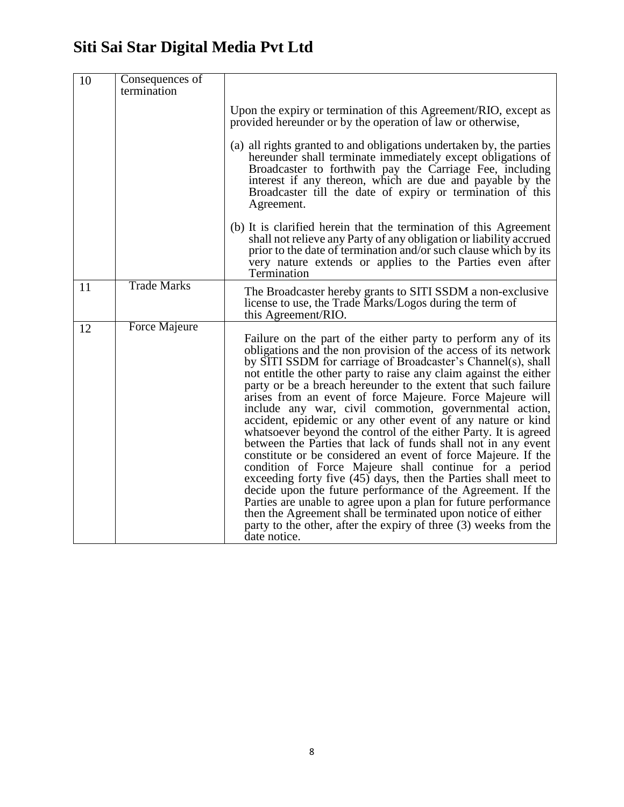| 10 | Consequences of<br>termination |                                                                                                                                                                                                                                                                                                                                                                                                                                                                                                                                                                                                                                                                                                                                                                                                                                                                                                                                                                                                                                                                                                                                                    |
|----|--------------------------------|----------------------------------------------------------------------------------------------------------------------------------------------------------------------------------------------------------------------------------------------------------------------------------------------------------------------------------------------------------------------------------------------------------------------------------------------------------------------------------------------------------------------------------------------------------------------------------------------------------------------------------------------------------------------------------------------------------------------------------------------------------------------------------------------------------------------------------------------------------------------------------------------------------------------------------------------------------------------------------------------------------------------------------------------------------------------------------------------------------------------------------------------------|
|    |                                | Upon the expiry or termination of this Agreement/RIO, except as<br>provided hereunder or by the operation of law or otherwise,                                                                                                                                                                                                                                                                                                                                                                                                                                                                                                                                                                                                                                                                                                                                                                                                                                                                                                                                                                                                                     |
|    |                                | (a) all rights granted to and obligations undertaken by, the parties<br>hereunder shall terminate immediately except obligations of<br>Broadcaster to forthwith pay the Carriage Fee, including<br>interest if any thereon, which are due and payable by the<br>Broadcaster till the date of expiry or termination of this<br>Agreement.                                                                                                                                                                                                                                                                                                                                                                                                                                                                                                                                                                                                                                                                                                                                                                                                           |
|    |                                | (b) It is clarified herein that the termination of this Agreement<br>shall not relieve any Party of any obligation or liability accrued<br>prior to the date of termination and/or such clause which by its<br>very nature extends or applies to the Parties even after<br>Termination                                                                                                                                                                                                                                                                                                                                                                                                                                                                                                                                                                                                                                                                                                                                                                                                                                                             |
| 11 | <b>Trade Marks</b>             | The Broadcaster hereby grants to SITI SSDM a non-exclusive<br>license to use, the Trade Marks/Logos during the term of<br>this Agreement/RIO.                                                                                                                                                                                                                                                                                                                                                                                                                                                                                                                                                                                                                                                                                                                                                                                                                                                                                                                                                                                                      |
| 12 | Force Majeure                  | Failure on the part of the either party to perform any of its<br>obligations and the non provision of the access of its network<br>by SITI SSDM for carriage of Broadcaster's Channel(s), shall<br>not entitle the other party to raise any claim against the either<br>party or be a breach hereunder to the extent that such failure<br>arises from an event of force Majeure. Force Majeure will<br>include any war, civil commotion, governmental action,<br>accident, epidemic or any other event of any nature or kind<br>whatsoever beyond the control of the either Party. It is agreed<br>between the Parties that lack of funds shall not in any event<br>constitute or be considered an event of force Majeure. If the<br>condition of Force Majeure shall continue for a period<br>exceeding forty five (45) days, then the Parties shall meet to<br>decide upon the future performance of the Agreement. If the<br>Parties are unable to agree upon a plan for future performance<br>then the Agreement shall be terminated upon notice of either<br>party to the other, after the expiry of three (3) weeks from the<br>date notice. |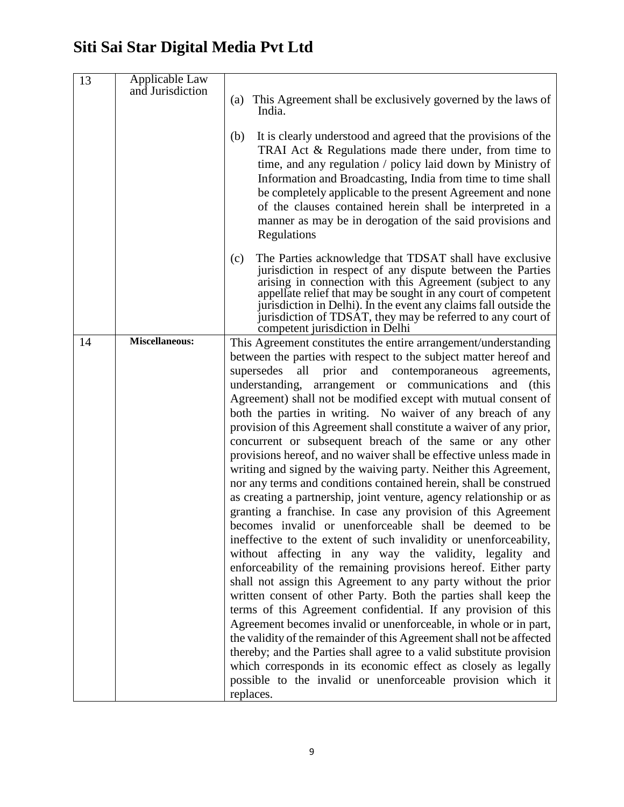| 13 | Applicable Law<br>and Jurisdiction |                                                                                                                                                                                                                                                                                                                                                                                                                                                                    |
|----|------------------------------------|--------------------------------------------------------------------------------------------------------------------------------------------------------------------------------------------------------------------------------------------------------------------------------------------------------------------------------------------------------------------------------------------------------------------------------------------------------------------|
|    |                                    | (a) This Agreement shall be exclusively governed by the laws of<br>India.                                                                                                                                                                                                                                                                                                                                                                                          |
|    |                                    | It is clearly understood and agreed that the provisions of the<br>(b)<br>TRAI Act & Regulations made there under, from time to<br>time, and any regulation / policy laid down by Ministry of<br>Information and Broadcasting, India from time to time shall<br>be completely applicable to the present Agreement and none<br>of the clauses contained herein shall be interpreted in a<br>manner as may be in derogation of the said provisions and<br>Regulations |
|    |                                    | The Parties acknowledge that TDSAT shall have exclusive<br>(c)<br>jurisdiction in respect of any dispute between the Parties<br>arising in connection with this Agreement (subject to any<br>appellate relief that may be sought in any court of competent<br>jurisdiction in Delhi). In the event any claims fall outside the<br>jurisdiction of TDSAT, they may be referred to any court of<br>competent jurisdiction in Delhi                                   |
| 14 | <b>Miscellaneous:</b>              | This Agreement constitutes the entire arrangement/understanding<br>between the parties with respect to the subject matter hereof and                                                                                                                                                                                                                                                                                                                               |
|    |                                    | supersedes<br>all<br>prior<br>and contemporaneous<br>agreements,<br>understanding, arrangement or communications and (this                                                                                                                                                                                                                                                                                                                                         |
|    |                                    | Agreement) shall not be modified except with mutual consent of                                                                                                                                                                                                                                                                                                                                                                                                     |
|    |                                    | both the parties in writing. No waiver of any breach of any                                                                                                                                                                                                                                                                                                                                                                                                        |
|    |                                    | provision of this Agreement shall constitute a waiver of any prior,                                                                                                                                                                                                                                                                                                                                                                                                |
|    |                                    | concurrent or subsequent breach of the same or any other                                                                                                                                                                                                                                                                                                                                                                                                           |
|    |                                    | provisions hereof, and no waiver shall be effective unless made in                                                                                                                                                                                                                                                                                                                                                                                                 |
|    |                                    | writing and signed by the waiving party. Neither this Agreement,<br>nor any terms and conditions contained herein, shall be construed                                                                                                                                                                                                                                                                                                                              |
|    |                                    | as creating a partnership, joint venture, agency relationship or as                                                                                                                                                                                                                                                                                                                                                                                                |
|    |                                    | granting a franchise. In case any provision of this Agreement                                                                                                                                                                                                                                                                                                                                                                                                      |
|    |                                    | becomes invalid or unenforceable shall be deemed to be                                                                                                                                                                                                                                                                                                                                                                                                             |
|    |                                    | ineffective to the extent of such invalidity or unenforceability,                                                                                                                                                                                                                                                                                                                                                                                                  |
|    |                                    | without affecting in any way the validity, legality and                                                                                                                                                                                                                                                                                                                                                                                                            |
|    |                                    | enforceability of the remaining provisions hereof. Either party<br>shall not assign this Agreement to any party without the prior                                                                                                                                                                                                                                                                                                                                  |
|    |                                    | written consent of other Party. Both the parties shall keep the                                                                                                                                                                                                                                                                                                                                                                                                    |
|    |                                    | terms of this Agreement confidential. If any provision of this                                                                                                                                                                                                                                                                                                                                                                                                     |
|    |                                    | Agreement becomes invalid or unenforceable, in whole or in part,                                                                                                                                                                                                                                                                                                                                                                                                   |
|    |                                    | the validity of the remainder of this Agreement shall not be affected                                                                                                                                                                                                                                                                                                                                                                                              |
|    |                                    | thereby; and the Parties shall agree to a valid substitute provision                                                                                                                                                                                                                                                                                                                                                                                               |
|    |                                    | which corresponds in its economic effect as closely as legally<br>possible to the invalid or unenforceable provision which it                                                                                                                                                                                                                                                                                                                                      |
|    |                                    | replaces.                                                                                                                                                                                                                                                                                                                                                                                                                                                          |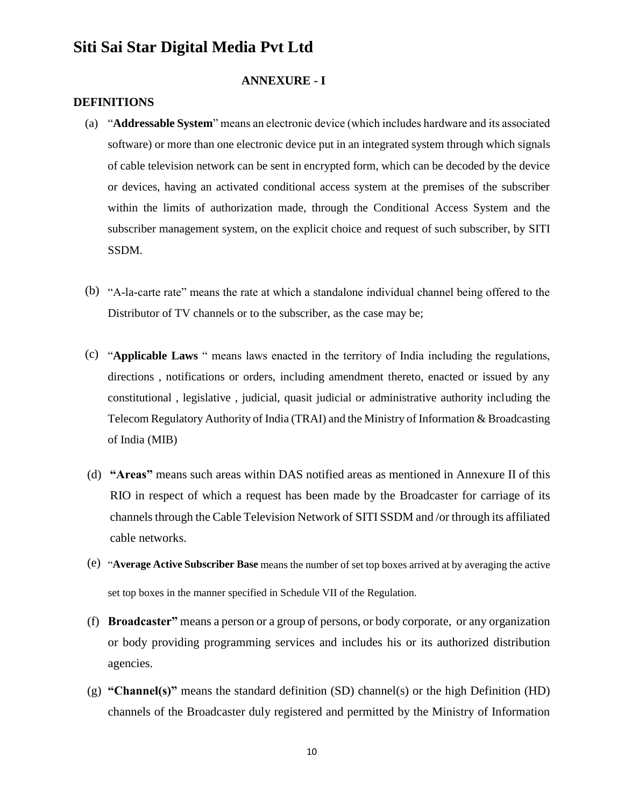#### **ANNEXURE - I**

#### **DEFINITIONS**

- (a) "**Addressable System**" means an electronic device (which includes hardware and its associated software) or more than one electronic device put in an integrated system through which signals of cable television network can be sent in encrypted form, which can be decoded by the device or devices, having an activated conditional access system at the premises of the subscriber within the limits of authorization made, through the Conditional Access System and the subscriber management system, on the explicit choice and request of such subscriber, by SITI SSDM.
- (b) "A-la-carte rate" means the rate at which a standalone individual channel being offered to the Distributor of TV channels or to the subscriber, as the case may be;
- (c) "**Applicable Laws** " means laws enacted in the territory of India including the regulations, directions , notifications or orders, including amendment thereto, enacted or issued by any constitutional , legislative , judicial, quasit judicial or administrative authority including the Telecom Regulatory Authority of India (TRAI) and the Ministry of Information & Broadcasting of India (MIB)
- (d) **"Areas"** means such areas within DAS notified areas as mentioned in Annexure II of this RIO in respect of which a request has been made by the Broadcaster for carriage of its channels through the Cable Television Network of SITI SSDM and /or through its affiliated cable networks.
- (e) "**Average Active Subscriber Base** means the number of set top boxes arrived at by averaging the active set top boxes in the manner specified in Schedule VII of the Regulation.
- (f) **Broadcaster"** means a person or a group of persons, or body corporate, or any organization or body providing programming services and includes his or its authorized distribution agencies.
- (g) **"Channel(s)"** means the standard definition (SD) channel(s) or the high Definition (HD) channels of the Broadcaster duly registered and permitted by the Ministry of Information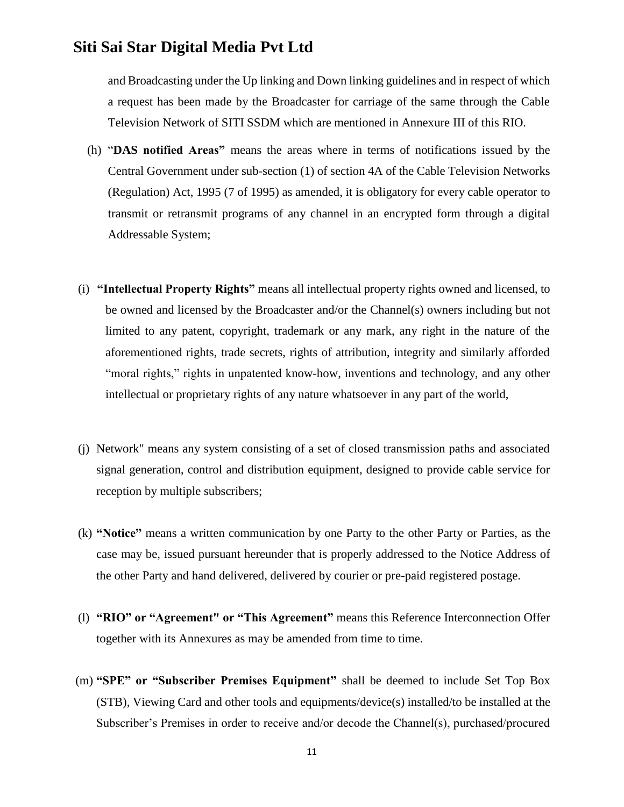and Broadcasting under the Up linking and Down linking guidelines and in respect of which a request has been made by the Broadcaster for carriage of the same through the Cable Television Network of SITI SSDM which are mentioned in Annexure III of this RIO.

- (h) "**DAS notified Areas"** means the areas where in terms of notifications issued by the Central Government under sub-section (1) of section 4A of the Cable Television Networks (Regulation) Act, 1995 (7 of 1995) as amended, it is obligatory for every cable operator to transmit or retransmit programs of any channel in an encrypted form through a digital Addressable System;
- (i) **"Intellectual Property Rights"** means all intellectual property rights owned and licensed, to be owned and licensed by the Broadcaster and/or the Channel(s) owners including but not limited to any patent, copyright, trademark or any mark, any right in the nature of the aforementioned rights, trade secrets, rights of attribution, integrity and similarly afforded "moral rights," rights in unpatented know-how, inventions and technology, and any other intellectual or proprietary rights of any nature whatsoever in any part of the world,
- (j) Network" means any system consisting of a set of closed transmission paths and associated signal generation, control and distribution equipment, designed to provide cable service for reception by multiple subscribers;
- (k) **"Notice"** means a written communication by one Party to the other Party or Parties, as the case may be, issued pursuant hereunder that is properly addressed to the Notice Address of the other Party and hand delivered, delivered by courier or pre-paid registered postage.
- (l) **"RIO" or "Agreement" or "This Agreement"** means this Reference Interconnection Offer together with its Annexures as may be amended from time to time.
- (m) **"SPE" or "Subscriber Premises Equipment"** shall be deemed to include Set Top Box (STB), Viewing Card and other tools and equipments/device(s) installed/to be installed at the Subscriber's Premises in order to receive and/or decode the Channel(s), purchased/procured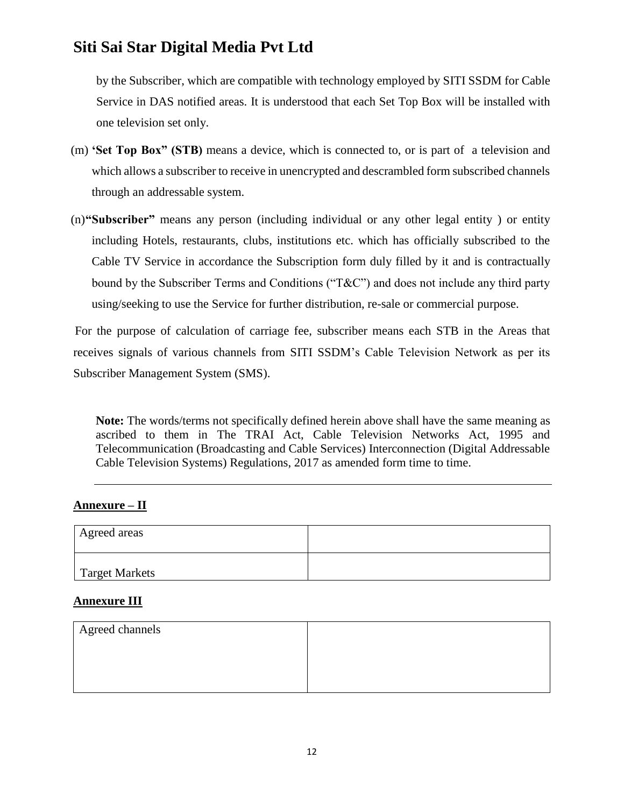by the Subscriber, which are compatible with technology employed by SITI SSDM for Cable Service in DAS notified areas. It is understood that each Set Top Box will be installed with one television set only.

- (m) **'Set Top Box" (STB)** means a device, which is connected to, or is part of a television and which allows a subscriber to receive in unencrypted and descrambled form subscribed channels through an addressable system.
- (n)**"Subscriber"** means any person (including individual or any other legal entity ) or entity including Hotels, restaurants, clubs, institutions etc. which has officially subscribed to the Cable TV Service in accordance the Subscription form duly filled by it and is contractually bound by the Subscriber Terms and Conditions ("T&C") and does not include any third party using/seeking to use the Service for further distribution, re-sale or commercial purpose.

For the purpose of calculation of carriage fee, subscriber means each STB in the Areas that receives signals of various channels from SITI SSDM's Cable Television Network as per its Subscriber Management System (SMS).

**Note:** The words/terms not specifically defined herein above shall have the same meaning as ascribed to them in The TRAI Act, Cable Television Networks Act, 1995 and Telecommunication (Broadcasting and Cable Services) Interconnection (Digital Addressable Cable Television Systems) Regulations, 2017 as amended form time to time.

### **Annexure – II**

| Agreed areas   |  |
|----------------|--|
| Target Markets |  |

### **Annexure III**

| Agreed channels |  |
|-----------------|--|
|                 |  |
|                 |  |
|                 |  |